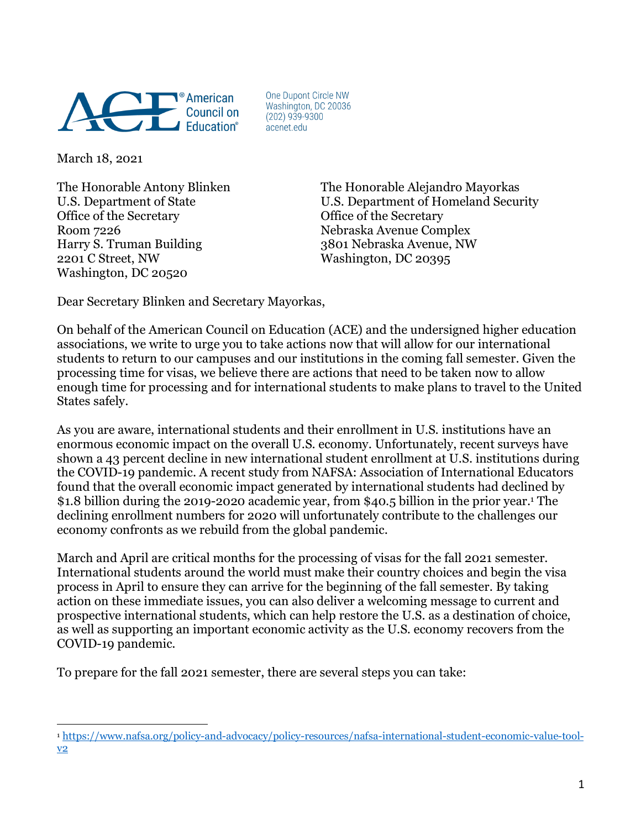

One Dupont Circle NW Washington, DC 20036  $(202)$  939-9300 acenet.edu

March 18, 2021

Office of the Secretary **Office of the Secretary** Room 7226 Nebraska Avenue Complex Harry S. Truman Building 3801 Nebraska Avenue, NW 2201 C Street, NW Washington, DC 20395 Washington, DC 20520

The Honorable Antony Blinken The Honorable Alejandro Mayorkas U.S. Department of State U.S. Department of Homeland Security

Dear Secretary Blinken and Secretary Mayorkas,

On behalf of the American Council on Education (ACE) and the undersigned higher education associations, we write to urge you to take actions now that will allow for our international students to return to our campuses and our institutions in the coming fall semester. Given the processing time for visas, we believe there are actions that need to be taken now to allow enough time for processing and for international students to make plans to travel to the United States safely.

As you are aware, international students and their enrollment in U.S. institutions have an enormous economic impact on the overall U.S. economy. Unfortunately, recent surveys have shown a 43 percent decline in new international student enrollment at U.S. institutions during the COVID-19 pandemic. A recent study from NAFSA: Association of International Educators found that the overall economic impact generated by international students had declined by \$1.8 billion during the 2019-2020 academic year, from \$40.5 billion in the prior year.1 The declining enrollment numbers for 2020 will unfortunately contribute to the challenges our economy confronts as we rebuild from the global pandemic.

March and April are critical months for the processing of visas for the fall 2021 semester. International students around the world must make their country choices and begin the visa process in April to ensure they can arrive for the beginning of the fall semester. By taking action on these immediate issues, you can also deliver a welcoming message to current and prospective international students, which can help restore the U.S. as a destination of choice, as well as supporting an important economic activity as the U.S. economy recovers from the COVID-19 pandemic.

To prepare for the fall 2021 semester, there are several steps you can take:

 $\overline{a}$ <sup>1</sup> https://www.nafsa.org/policy-and-advocacy/policy-resources/nafsa-international-student-economic-value-toolv2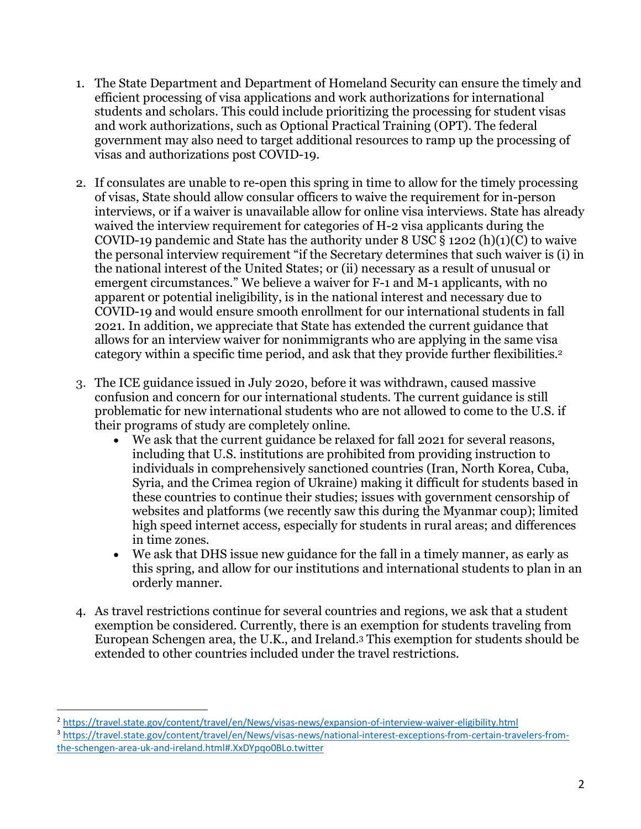- 1. The State Department and Department of Homeland Security can ensure the timely and efficient processing of visa applications and work authorizations for international students and scholars. This could include prioritizing the processing for student visas and work authorizations, such as Optional Practical Training (OPT). The federal government may also need to target additional resources to ramp up the processing of visas and authorizations post COVID-19.
- 2. If consulates are unable to re-open this spring in time to allow for the timely processing of visas, State should allow consular officers to waive the requirement for in-person interviews, or if a waiver is unavailable allow for online visa interviews. State has already waived the interview requirement for categories of H-2 visa applicants during the COVID-19 pandemic and State has the authority under  $8$  USC  $\S$  1202 (h)(1)(C) to waive the personal interview requirement "if the Secretary determines that such waiver is (i) in the national interest of the United States; or (ii) necessary as a result of unusual or emergent circumstances." We believe a waiver for F-1 and M-1 applicants, with no apparent or potential ineligibility, is in the national interest and necessary due to COVID-19 and would ensure smooth enrollment for our international students in fall 2021. In addition, we appreciate that State has extended the current guidance that allows for an interview waiver for nonimmigrants who are applying in the same visa category within a specific time period, and ask that they provide further flexibilities. 2
- 3. The ICE guidance issued in July 2020, before it was withdrawn, caused massive confusion and concern for our international students. The current guidance is still problematic for new international students who are not allowed to come to the U.S. if their programs of study are completely online.
	- We ask that the current guidance be relaxed for fall 2021 for several reasons, including that U.S. institutions are prohibited from providing instruction to individuals in comprehensively sanctioned countries (Iran, North Korea, Cuba, Syria, and the Crimea region of Ukraine) making it difficult for students based in these countries to continue their studies; issues with government censorship of websites and platforms (we recently saw this during the Myanmar coup); limited high speed internet access, especially for students in rural areas; and differences in time zones.
	- We ask that DHS issue new guidance for the fall in a timely manner, as early as this spring, and allow for our institutions and international students to plan in an orderly manner.
- 4. As travel restrictions continue for several countries and regions, we ask that a student exemption be considered. Currently, there is an exemption for students traveling from European Schengen area, the U.K., and Ireland.3 This exemption for students should be extended to other countries included under the travel restrictions.

 $\overline{a}$ 

<sup>2</sup> https://travel.state.gov/content/travel/en/News/visas-news/expansion-of-interview-waiver-eligibility.html

<sup>3</sup> https://travel.state.gov/content/travel/en/News/visas-news/national-interest-exceptions-from-certain-travelers-fromthe-schengen-area-uk-and-ireland.html#.XxDYpqo0BLo.twitter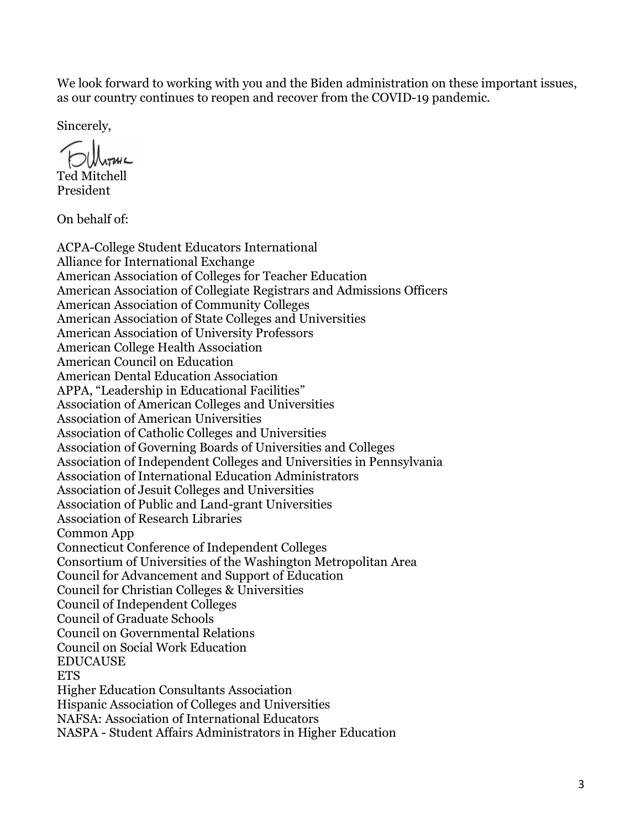We look forward to working with you and the Biden administration on these important issues, as our country continues to reopen and recover from the COVID-19 pandemic.

Sincerely,

Ted Mitchell President

On behalf of:

ACPA-College Student Educators International Alliance for International Exchange American Association of Colleges for Teacher Education American Association of Collegiate Registrars and Admissions Officers American Association of Community Colleges American Association of State Colleges and Universities American Association of University Professors American College Health Association American Council on Education American Dental Education Association APPA, "Leadership in Educational Facilities" Association of American Colleges and Universities Association of American Universities Association of Catholic Colleges and Universities Association of Governing Boards of Universities and Colleges Association of Independent Colleges and Universities in Pennsylvania Association of International Education Administrators Association of Jesuit Colleges and Universities Association of Public and Land-grant Universities Association of Research Libraries Common App Connecticut Conference of Independent Colleges Consortium of Universities of the Washington Metropolitan Area Council for Advancement and Support of Education Council for Christian Colleges & Universities Council of Independent Colleges Council of Graduate Schools Council on Governmental Relations Council on Social Work Education EDUCAUSE **ETS** Higher Education Consultants Association Hispanic Association of Colleges and Universities NAFSA: Association of International Educators NASPA - Student Affairs Administrators in Higher Education